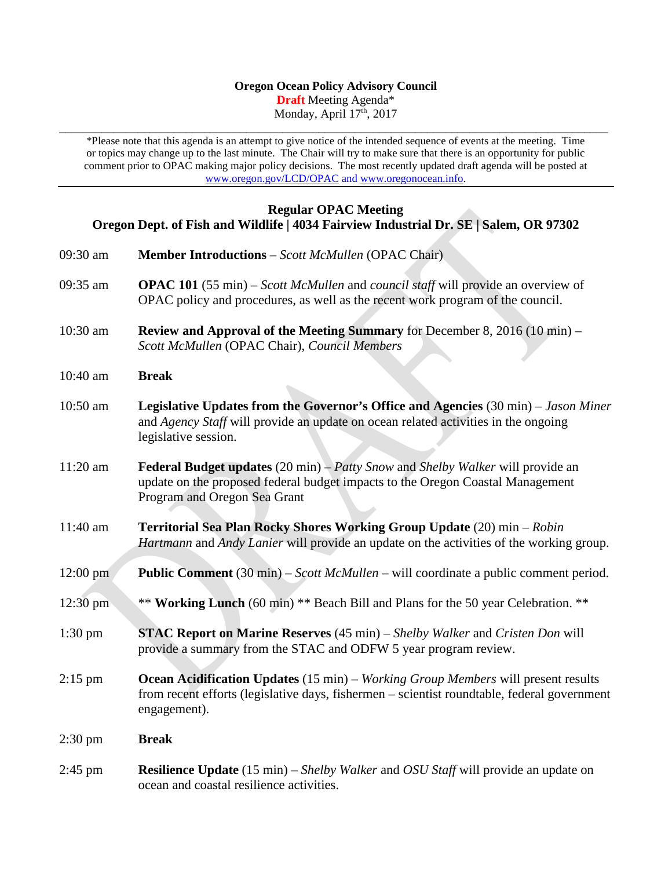## **Oregon Ocean Policy Advisory Council Draft** Meeting Agenda\* Monday, April 17th, 2017

\_\_\_\_\_\_\_\_\_\_\_\_\_\_\_\_\_\_\_\_\_\_\_\_\_\_\_\_\_\_\_\_\_\_\_\_\_\_\_\_\_\_\_\_\_\_\_\_\_\_\_\_\_\_\_\_\_\_\_\_\_\_\_\_\_\_\_\_\_\_\_\_\_\_\_\_\_\_\_\_\_\_\_\_\_\_\_\_\_\_\_ \*Please note that this agenda is an attempt to give notice of the intended sequence of events at the meeting. Time or topics may change up to the last minute. The Chair will try to make sure that there is an opportunity for public comment prior to OPAC making major policy decisions. The most recently updated draft agenda will be posted at [www.oregon.gov/LCD/OPAC](http://www.oregon.gov/LCD/OPAC) and [www.oregonocean.info.](http://www.oregonocean.info/)

## **Regular OPAC Meeting Oregon Dept. of Fish and Wildlife | 4034 Fairview Industrial Dr. SE | Salem, OR 97302** 09:30 am **Member Introductions** – *Scott McMullen* (OPAC Chair) 09:35 am **OPAC 101** (55 min) – *Scott McMullen* and *council staff* will provide an overview of OPAC policy and procedures, as well as the recent work program of the council. 10:30 am **Review and Approval of the Meeting Summary** for December 8, 2016 (10 min) – *Scott McMullen* (OPAC Chair), *Council Members* 10:40 am **Break** 10:50 am **Legislative Updates from the Governor's Office and Agencies** (30 min) – *Jason Miner* and *Agency Staff* will provide an update on ocean related activities in the ongoing legislative session. 11:20 am **Federal Budget updates** (20 min) – *Patty Snow* and *Shelby Walker* will provide an update on the proposed federal budget impacts to the Oregon Coastal Management Program and Oregon Sea Grant 11:40 am **Territorial Sea Plan Rocky Shores Working Group Update** (20) min – *Robin Hartmann* and *Andy Lanier* will provide an update on the activities of the working group. 12:00 pm **Public Comment** (30 min) – *Scott McMullen* – will coordinate a public comment period. 12:30 pm \*\* **Working Lunch** (60 min) \*\* Beach Bill and Plans for the 50 year Celebration. \*\* 1:30 pm **STAC Report on Marine Reserves** (45 min) – *Shelby Walker* and *Cristen Don* will provide a summary from the STAC and ODFW 5 year program review. 2:15 pm **Ocean Acidification Updates** (15 min) – *Working Group Members* will present results from recent efforts (legislative days, fishermen – scientist roundtable, federal government engagement). 2:30 pm **Break**

2:45 pm **Resilience Update** (15 min) – *Shelby Walker* and *OSU Staff* will provide an update on ocean and coastal resilience activities.